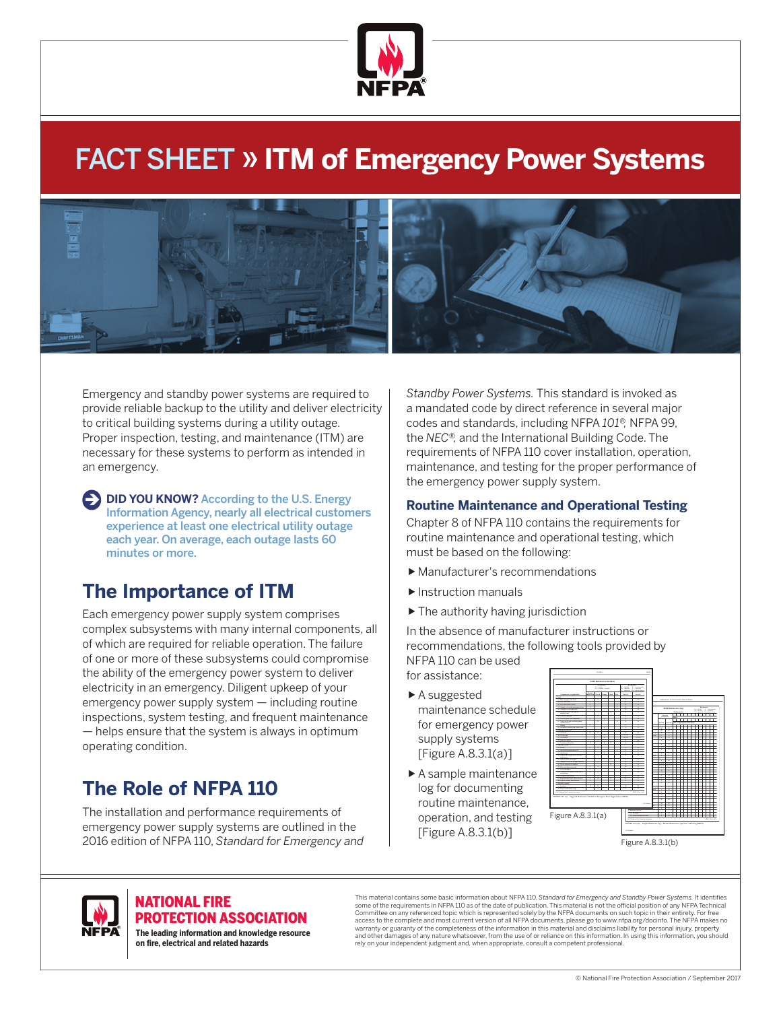

# FACT SHEET » **ITM of Emergency Power Systems**



Emergency and standby power systems are required to provide reliable backup to the utility and deliver electricity to critical building systems during a utility outage. Proper inspection, testing, and maintenance (ITM) are necessary for these systems to perform as intended in an emergency.

**DID YOU KNOW?** According to the U.S. Energy Information Agency, nearly all electrical customers experience at least one electrical utility outage each year. On average, each outage lasts 60 minutes or more.

# **The Importance of ITM**

Each emergency power supply system comprises complex subsystems with many internal components, all of which are required for reliable operation. The failure of one or more of these subsystems could compromise the ability of the emergency power system to deliver electricity in an emergency. Diligent upkeep of your emergency power supply system — including routine inspections, system testing, and frequent maintenance — helps ensure that the system is always in optimum operating condition.

# **The Role of NFPA 110**

The installation and performance requirements of emergency power supply systems are outlined in the 2016 edition of NFPA 110, *Standard for Emergency and*  *Standby Power Systems.* This standard is invoked as a mandated code by direct reference in several major codes and standards, including NFPA *101®,* NFPA 99, the *NEC®,* and the International Building Code. The requirements of NFPA 110 cover installation, operation, maintenance, and testing for the proper performance of the emergency power supply system.

## **Routine Maintenance and Operational Testing**

Chapter 8 of NFPA 110 contains the requirements for routine maintenance and operational testing, which must be based on the following:

- Manufacturer's recommendations
- Instruction manuals
- $\blacktriangleright$  The authority having jurisdiction

In the absence of manufacturer instructions or recommendations, the following tools provided by NFPA 110 can be used

- for assistance: ▶ A suggested
- maintenance schedule for emergency power supply systems [Figure A.8.3.1(a)]
- A sample maintenance log for documenting routine maintenance, operation, and testing [Figure A.8.3.1(b)]





#### NATIONAL FIRE PROTECTION ASSOCIATION

**The leading information and knowledge resource on re, electrical and related hazards**

This material contains some basic information about NFPA 110, S*tandard for Emergency and Standby Power Systems.* It identifies<br>some of the requirements in NFPA 110 as of the date of publication. This material is not the o access to the complete and most current version of all NFPA documents, please go to www.nfpa.org/docinfo. The NFPA makes no warranty or guaranty of the completeness of the information in this material and disclaims liability for personal injury, property<br>and other damages of any nature whatsoever, from the use of or reliance on this information rely on your independent judgment and, when appropriate, consult a competent professional